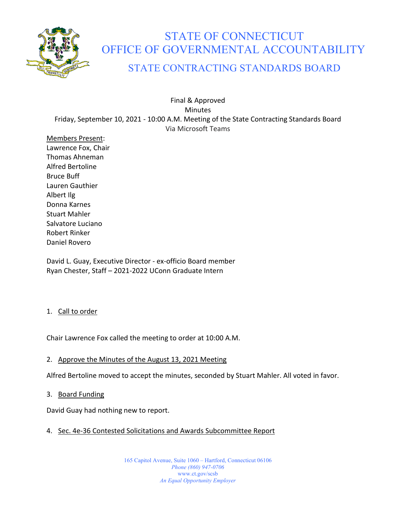

# STATE OF CONNECTICUT OFFICE OF GOVERNMENTAL ACCOUNTABILITY

# STATE CONTRACTING STANDARDS BOARD

Final & Approved Minutes Friday, September 10, 2021 - 10:00 A.M. Meeting of the State Contracting Standards Board Via Microsoft Teams

Members Present: Lawrence Fox, Chair Thomas Ahneman Alfred Bertoline Bruce Buff Lauren Gauthier Albert Ilg Donna Karnes Stuart Mahler Salvatore Luciano Robert Rinker Daniel Rovero

David L. Guay, Executive Director - ex-officio Board member Ryan Chester, Staff – 2021-2022 UConn Graduate Intern

#### 1. Call to order

Chair Lawrence Fox called the meeting to order at 10:00 A.M.

#### 2. Approve the Minutes of the August 13, 2021 Meeting

Alfred Bertoline moved to accept the minutes, seconded by Stuart Mahler. All voted in favor.

3. Board Funding

David Guay had nothing new to report.

#### 4. Sec. 4e-36 Contested Solicitations and Awards Subcommittee Report

165 Capitol Avenue, Suite 1060 – Hartford, Connecticut 06106 *Phone (860) 947-0706*  www.ct.gov/scsb *An Equal Opportunity Employer*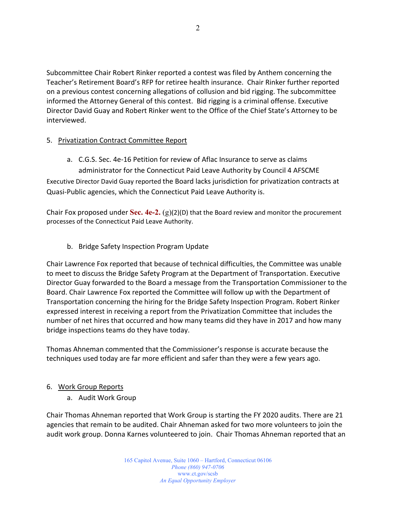Subcommittee Chair Robert Rinker reported a contest was filed by Anthem concerning the Teacher's Retirement Board's RFP for retiree health insurance. Chair Rinker further reported on a previous contest concerning allegations of collusion and bid rigging. The subcommittee informed the Attorney General of this contest. Bid rigging is a criminal offense. Executive Director David Guay and Robert Rinker went to the Office of the Chief State's Attorney to be interviewed.

#### 5. Privatization Contract Committee Report

a. C.G.S. Sec. 4e-16 Petition for review of Aflac Insurance to serve as claims administrator for the Connecticut Paid Leave Authority by Council 4 AFSCME Executive Director David Guay reported the Board lacks jurisdiction for privatization contracts at Quasi-Public agencies, which the Connecticut Paid Leave Authority is.

Chair Fox proposed under **Sec. 4e-2.** (g)(2)(D) that the Board review and monitor the procurement processes of the Connecticut Paid Leave Authority.

## b. Bridge Safety Inspection Program Update

Chair Lawrence Fox reported that because of technical difficulties, the Committee was unable to meet to discuss the Bridge Safety Program at the Department of Transportation. Executive Director Guay forwarded to the Board a message from the Transportation Commissioner to the Board. Chair Lawrence Fox reported the Committee will follow up with the Department of Transportation concerning the hiring for the Bridge Safety Inspection Program. Robert Rinker expressed interest in receiving a report from the Privatization Committee that includes the number of net hires that occurred and how many teams did they have in 2017 and how many bridge inspections teams do they have today.

Thomas Ahneman commented that the Commissioner's response is accurate because the techniques used today are far more efficient and safer than they were a few years ago.

### 6. Work Group Reports

a. Audit Work Group

Chair Thomas Ahneman reported that Work Group is starting the FY 2020 audits. There are 21 agencies that remain to be audited. Chair Ahneman asked for two more volunteers to join the audit work group. Donna Karnes volunteered to join. Chair Thomas Ahneman reported that an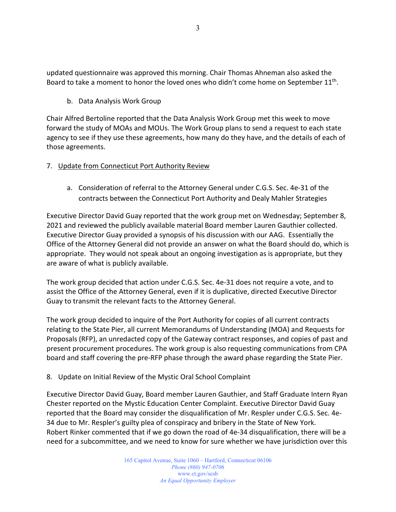updated questionnaire was approved this morning. Chair Thomas Ahneman also asked the Board to take a moment to honor the loved ones who didn't come home on September  $11^{th}$ .

b. Data Analysis Work Group

Chair Alfred Bertoline reported that the Data Analysis Work Group met this week to move forward the study of MOAs and MOUs. The Work Group plans to send a request to each state agency to see if they use these agreements, how many do they have, and the details of each of those agreements.

#### 7. Update from Connecticut Port Authority Review

a. Consideration of referral to the Attorney General under C.G.S. Sec. 4e-31 of the contracts between the Connecticut Port Authority and Dealy Mahler Strategies

Executive Director David Guay reported that the work group met on Wednesday; September 8, 2021 and reviewed the publicly available material Board member Lauren Gauthier collected. Executive Director Guay provided a synopsis of his discussion with our AAG. Essentially the Office of the Attorney General did not provide an answer on what the Board should do, which is appropriate. They would not speak about an ongoing investigation as is appropriate, but they are aware of what is publicly available.

The work group decided that action under C.G.S. Sec. 4e-31 does not require a vote, and to assist the Office of the Attorney General, even if it is duplicative, directed Executive Director Guay to transmit the relevant facts to the Attorney General.

The work group decided to inquire of the Port Authority for copies of all current contracts relating to the State Pier, all current Memorandums of Understanding (MOA) and Requests for Proposals (RFP), an unredacted copy of the Gateway contract responses, and copies of past and present procurement procedures. The work group is also requesting communications from CPA board and staff covering the pre-RFP phase through the award phase regarding the State Pier.

8. Update on Initial Review of the Mystic Oral School Complaint

Executive Director David Guay, Board member Lauren Gauthier, and Staff Graduate Intern Ryan Chester reported on the Mystic Education Center Complaint. Executive Director David Guay reported that the Board may consider the disqualification of Mr. Respler under C.G.S. Sec. 4e-34 due to Mr. Respler's guilty plea of conspiracy and bribery in the State of New York. Robert Rinker commented that if we go down the road of 4e-34 disqualification, there will be a need for a subcommittee, and we need to know for sure whether we have jurisdiction over this